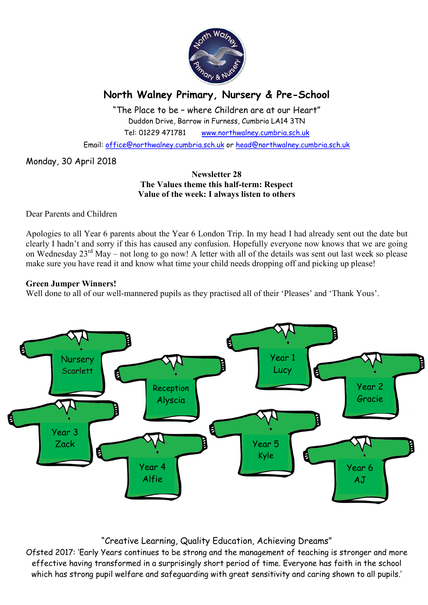

# North Walney Primary, Nursery & Pre-School

"The Place to be – where Children are at our Heart" Duddon Drive, Barrow in Furness, Cumbria LA14 3TN Tel: 01229 471781 www.northwalney.cumbria.sch.uk

Email: office@northwalney.cumbria.sch.uk or head@northwalney.cumbria.sch.uk

Monday, 30 April 2018

## Newsletter 28 The Values theme this half-term: Respect Value of the week: I always listen to others

Dear Parents and Children

Apologies to all Year 6 parents about the Year 6 London Trip. In my head I had already sent out the date but clearly I hadn't and sorry if this has caused any confusion. Hopefully everyone now knows that we are going on Wednesday 23<sup>rd</sup> May – not long to go now! A letter with all of the details was sent out last week so please make sure you have read it and know what time your child needs dropping off and picking up please!

# Green Jumper Winners!

Well done to all of our well-mannered pupils as they practised all of their 'Pleases' and 'Thank Yous'.



# "Creative Learning, Quality Education, Achieving Dreams"

Ofsted 2017: 'Early Years continues to be strong and the management of teaching is stronger and more effective having transformed in a surprisingly short period of time. Everyone has faith in the school which has strong pupil welfare and safeguarding with great sensitivity and caring shown to all pupils.'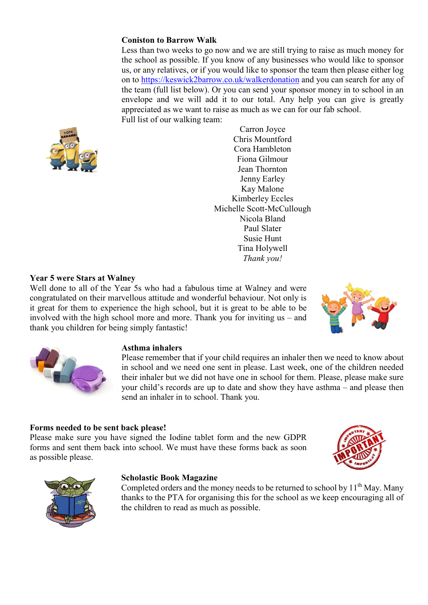# Coniston to Barrow Walk

Less than two weeks to go now and we are still trying to raise as much money for the school as possible. If you know of any businesses who would like to sponsor us, or any relatives, or if you would like to sponsor the team then please either log on to https://keswick2barrow.co.uk/walkerdonation and you can search for any of the team (full list below). Or you can send your sponsor money in to school in an envelope and we will add it to our total. Any help you can give is greatly appreciated as we want to raise as much as we can for our fab school. Full list of our walking team:



Carron Joyce Chris Mountford Cora Hambleton Fiona Gilmour Jean Thornton Jenny Earley Kay Malone Kimberley Eccles Michelle Scott-McCullough Nicola Bland Paul Slater Susie Hunt Tina Holywell Thank you!

#### Year 5 were Stars at Walney

Well done to all of the Year 5s who had a fabulous time at Walney and were congratulated on their marvellous attitude and wonderful behaviour. Not only is it great for them to experience the high school, but it is great to be able to be involved with the high school more and more. Thank you for inviting us – and thank you children for being simply fantastic!





#### Asthma inhalers

Please remember that if your child requires an inhaler then we need to know about in school and we need one sent in please. Last week, one of the children needed their inhaler but we did not have one in school for them. Please, please make sure your child's records are up to date and show they have asthma – and please then send an inhaler in to school. Thank you.

#### Forms needed to be sent back please!

Please make sure you have signed the Iodine tablet form and the new GDPR forms and sent them back into school. We must have these forms back as soon as possible please.





#### Scholastic Book Magazine

Completed orders and the money needs to be returned to school by  $11<sup>th</sup>$  May. Many thanks to the PTA for organising this for the school as we keep encouraging all of the children to read as much as possible.